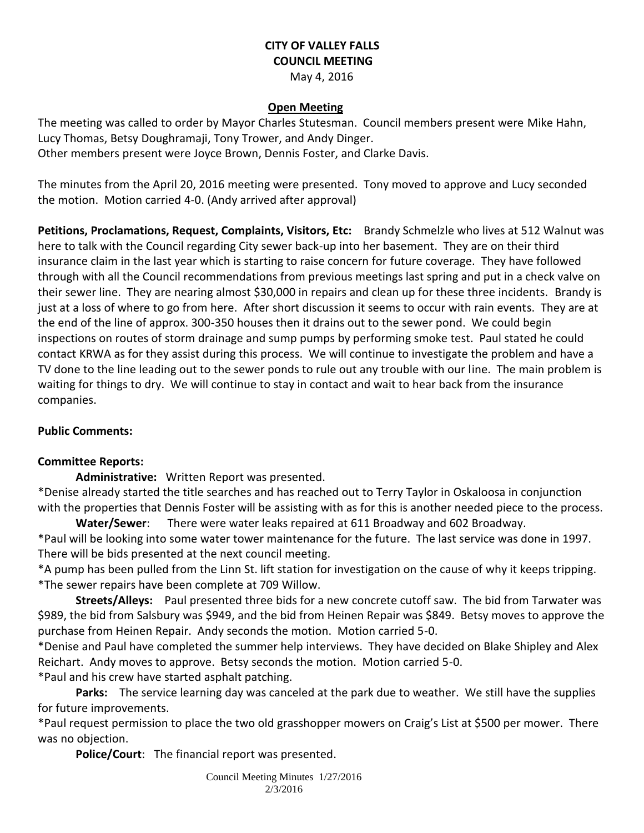# **CITY OF VALLEY FALLS COUNCIL MEETING**

## May 4, 2016

### **Open Meeting**

The meeting was called to order by Mayor Charles Stutesman. Council members present were Mike Hahn, Lucy Thomas, Betsy Doughramaji, Tony Trower, and Andy Dinger. Other members present were Joyce Brown, Dennis Foster, and Clarke Davis.

The minutes from the April 20, 2016 meeting were presented. Tony moved to approve and Lucy seconded the motion. Motion carried 4-0. (Andy arrived after approval)

**Petitions, Proclamations, Request, Complaints, Visitors, Etc:** Brandy Schmelzle who lives at 512 Walnut was here to talk with the Council regarding City sewer back-up into her basement. They are on their third insurance claim in the last year which is starting to raise concern for future coverage. They have followed through with all the Council recommendations from previous meetings last spring and put in a check valve on their sewer line. They are nearing almost \$30,000 in repairs and clean up for these three incidents. Brandy is just at a loss of where to go from here. After short discussion it seems to occur with rain events. They are at the end of the line of approx. 300-350 houses then it drains out to the sewer pond. We could begin inspections on routes of storm drainage and sump pumps by performing smoke test. Paul stated he could contact KRWA as for they assist during this process. We will continue to investigate the problem and have a TV done to the line leading out to the sewer ponds to rule out any trouble with our line. The main problem is waiting for things to dry. We will continue to stay in contact and wait to hear back from the insurance companies.

#### **Public Comments:**

#### **Committee Reports:**

**Administrative:** Written Report was presented.

\*Denise already started the title searches and has reached out to Terry Taylor in Oskaloosa in conjunction with the properties that Dennis Foster will be assisting with as for this is another needed piece to the process.

**Water/Sewer**: There were water leaks repaired at 611 Broadway and 602 Broadway. \*Paul will be looking into some water tower maintenance for the future. The last service was done in 1997. There will be bids presented at the next council meeting.

\*A pump has been pulled from the Linn St. lift station for investigation on the cause of why it keeps tripping. \*The sewer repairs have been complete at 709 Willow.

**Streets/Alleys:** Paul presented three bids for a new concrete cutoff saw. The bid from Tarwater was \$989, the bid from Salsbury was \$949, and the bid from Heinen Repair was \$849. Betsy moves to approve the purchase from Heinen Repair. Andy seconds the motion. Motion carried 5-0.

\*Denise and Paul have completed the summer help interviews. They have decided on Blake Shipley and Alex Reichart. Andy moves to approve. Betsy seconds the motion. Motion carried 5-0.

\*Paul and his crew have started asphalt patching.

**Parks:** The service learning day was canceled at the park due to weather. We still have the supplies for future improvements.

\*Paul request permission to place the two old grasshopper mowers on Craig's List at \$500 per mower. There was no objection.

**Police/Court**: The financial report was presented.

Council Meeting Minutes 1/27/2016 2/3/2016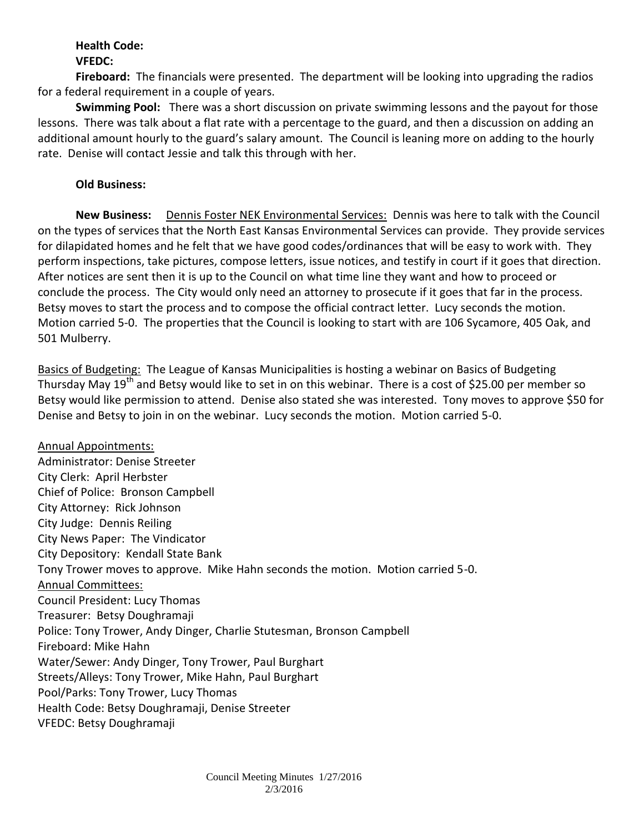#### **Health Code: VFEDC:**

**Fireboard:** The financials were presented. The department will be looking into upgrading the radios for a federal requirement in a couple of years.

**Swimming Pool:** There was a short discussion on private swimming lessons and the payout for those lessons. There was talk about a flat rate with a percentage to the guard, and then a discussion on adding an additional amount hourly to the guard's salary amount. The Council is leaning more on adding to the hourly rate. Denise will contact Jessie and talk this through with her.

## **Old Business:**

**New Business:** Dennis Foster NEK Environmental Services: Dennis was here to talk with the Council on the types of services that the North East Kansas Environmental Services can provide. They provide services for dilapidated homes and he felt that we have good codes/ordinances that will be easy to work with. They perform inspections, take pictures, compose letters, issue notices, and testify in court if it goes that direction. After notices are sent then it is up to the Council on what time line they want and how to proceed or conclude the process. The City would only need an attorney to prosecute if it goes that far in the process. Betsy moves to start the process and to compose the official contract letter. Lucy seconds the motion. Motion carried 5-0. The properties that the Council is looking to start with are 106 Sycamore, 405 Oak, and 501 Mulberry.

Basics of Budgeting: The League of Kansas Municipalities is hosting a webinar on Basics of Budgeting Thursday May  $19^{th}$  and Betsy would like to set in on this webinar. There is a cost of \$25.00 per member so Betsy would like permission to attend. Denise also stated she was interested. Tony moves to approve \$50 for Denise and Betsy to join in on the webinar. Lucy seconds the motion. Motion carried 5-0.

Annual Appointments: Administrator: Denise Streeter City Clerk: April Herbster Chief of Police: Bronson Campbell City Attorney: Rick Johnson City Judge: Dennis Reiling City News Paper: The Vindicator City Depository: Kendall State Bank Tony Trower moves to approve. Mike Hahn seconds the motion. Motion carried 5-0. Annual Committees: Council President: Lucy Thomas Treasurer: Betsy Doughramaji Police: Tony Trower, Andy Dinger, Charlie Stutesman, Bronson Campbell Fireboard: Mike Hahn Water/Sewer: Andy Dinger, Tony Trower, Paul Burghart Streets/Alleys: Tony Trower, Mike Hahn, Paul Burghart Pool/Parks: Tony Trower, Lucy Thomas Health Code: Betsy Doughramaji, Denise Streeter VFEDC: Betsy Doughramaji